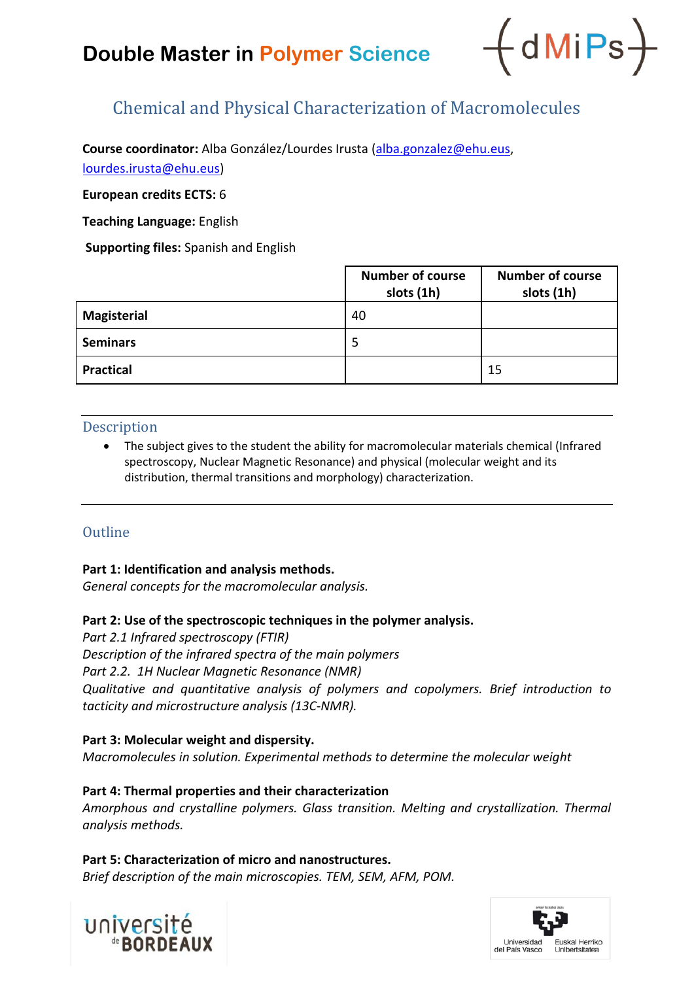# **Double Master in Polymer Science**



## Chemical and Physical Characterization of Macromolecules

**Course coordinator:** Alba González/Lourdes Irusta [\(alba.gonzalez@ehu.eus,](mailto:alba.gonzalez@ehu.eus)

[lourdes.irusta@ehu.eus\)](mailto:lourdes.irusta@ehu.eus)

**European credits ECTS:** 6

**Teaching Language:** English

**Supporting files:** Spanish and English

|                    | <b>Number of course</b><br>slots (1h) | <b>Number of course</b><br>slots (1h) |
|--------------------|---------------------------------------|---------------------------------------|
| <b>Magisterial</b> | 40                                    |                                       |
| <b>Seminars</b>    | 5                                     |                                       |
| <b>Practical</b>   |                                       | 15                                    |

#### Description

• The subject gives to the student the ability for macromolecular materials chemical (Infrared spectroscopy, Nuclear Magnetic Resonance) and physical (molecular weight and its distribution, thermal transitions and morphology) characterization.

## **Outline**

#### **Part 1: Identification and analysis methods.**

*General concepts for the macromolecular analysis.*

### **Part 2: Use of the spectroscopic techniques in the polymer analysis.**

*Part 2.1 Infrared spectroscopy (FTIR) Description of the infrared spectra of the main polymers Part 2.2. 1H Nuclear Magnetic Resonance (NMR) Qualitative and quantitative analysis of polymers and copolymers. Brief introduction to tacticity and microstructure analysis (13C-NMR).*

#### **Part 3: Molecular weight and dispersity.**

*Macromolecules in solution. Experimental methods to determine the molecular weight*

### **Part 4: Thermal properties and their characterization**

*Amorphous and crystalline polymers. Glass transition. Melting and crystallization. Thermal analysis methods.*

#### **Part 5: Characterization of micro and nanostructures.**

*Brief description of the main microscopies. TEM, SEM, AFM, POM.*